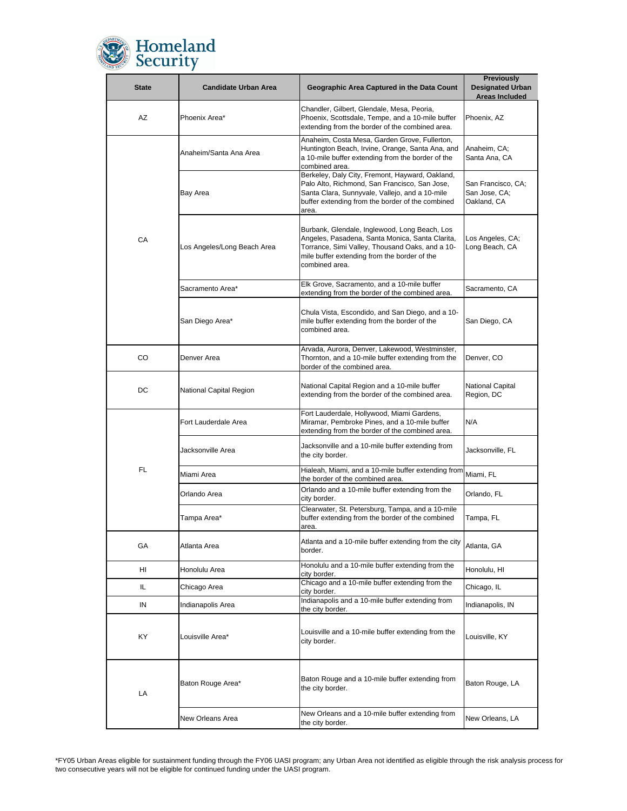

| <b>State</b> | <b>Candidate Urban Area</b> | Geographic Area Captured in the Data Count                                                                                                                                                                            | <b>Previously</b><br><b>Designated Urban</b><br><b>Areas Included</b> |
|--------------|-----------------------------|-----------------------------------------------------------------------------------------------------------------------------------------------------------------------------------------------------------------------|-----------------------------------------------------------------------|
| AZ           | Phoenix Area*               | Chandler, Gilbert, Glendale, Mesa, Peoria,<br>Phoenix, Scottsdale, Tempe, and a 10-mile buffer<br>extending from the border of the combined area.                                                                     | Phoenix, AZ                                                           |
| CA           | Anaheim/Santa Ana Area      | Anaheim, Costa Mesa, Garden Grove, Fullerton,<br>Huntington Beach, Irvine, Orange, Santa Ana, and<br>a 10-mile buffer extending from the border of the<br>combined area.                                              | Anaheim, CA;<br>Santa Ana, CA                                         |
|              | Bay Area                    | Berkeley, Daly City, Fremont, Hayward, Oakland,<br>Palo Alto, Richmond, San Francisco, San Jose,<br>Santa Clara, Sunnyvale, Vallejo, and a 10-mile<br>buffer extending from the border of the combined<br>area.       | San Francisco, CA;<br>San Jose, CA;<br>Oakland, CA                    |
|              | Los Angeles/Long Beach Area | Burbank, Glendale, Inglewood, Long Beach, Los<br>Angeles, Pasadena, Santa Monica, Santa Clarita,<br>Torrance, Simi Valley, Thousand Oaks, and a 10-<br>mile buffer extending from the border of the<br>combined area. | Los Angeles, CA;<br>Long Beach, CA                                    |
|              | Sacramento Area*            | Elk Grove, Sacramento, and a 10-mile buffer<br>extending from the border of the combined area.                                                                                                                        | Sacramento, CA                                                        |
|              | San Diego Area*             | Chula Vista, Escondido, and San Diego, and a 10-<br>mile buffer extending from the border of the<br>combined area.                                                                                                    | San Diego, CA                                                         |
| CO           | Denver Area                 | Arvada, Aurora, Denver, Lakewood, Westminster,<br>Thornton, and a 10-mile buffer extending from the<br>border of the combined area.                                                                                   | Denver, CO                                                            |
| DC           | National Capital Region     | National Capital Region and a 10-mile buffer<br>extending from the border of the combined area.                                                                                                                       | National Capital<br>Region, DC                                        |
| FL           | Fort Lauderdale Area        | Fort Lauderdale, Hollywood, Miami Gardens,<br>Miramar, Pembroke Pines, and a 10-mile buffer<br>extending from the border of the combined area.                                                                        | N/A                                                                   |
|              | Jacksonville Area           | Jacksonville and a 10-mile buffer extending from<br>the city border.                                                                                                                                                  | Jacksonville, FL                                                      |
|              | Miami Area                  | Hialeah, Miami, and a 10-mile buffer extending from<br>the border of the combined area.                                                                                                                               | Miami, FL                                                             |
|              | Orlando Area                | Orlando and a 10-mile buffer extending from the<br>city border.                                                                                                                                                       | Orlando, FL                                                           |
|              | Tampa Area*                 | Clearwater, St. Petersburg, Tampa, and a 10-mile<br>buffer extending from the border of the combined<br>area.                                                                                                         | Tampa, FL                                                             |
| GA           | Atlanta Area                | Atlanta and a 10-mile buffer extending from the city<br>border.                                                                                                                                                       | Atlanta, GA                                                           |
| HI           | Honolulu Area               | Honolulu and a 10-mile buffer extending from the<br>city border.                                                                                                                                                      | Honolulu, HI                                                          |
| IL           | Chicago Area                | Chicago and a 10-mile buffer extending from the<br>city border.                                                                                                                                                       | Chicago, IL                                                           |
| IN           | Indianapolis Area           | Indianapolis and a 10-mile buffer extending from<br>the city border.                                                                                                                                                  | Indianapolis, IN                                                      |
| KY           | Louisville Area*            | Louisville and a 10-mile buffer extending from the<br>city border.                                                                                                                                                    | Louisville, KY                                                        |
| LA           | Baton Rouge Area*           | Baton Rouge and a 10-mile buffer extending from<br>the city border.                                                                                                                                                   | Baton Rouge, LA                                                       |
|              | New Orleans Area            | New Orleans and a 10-mile buffer extending from<br>the city border.                                                                                                                                                   | New Orleans, LA                                                       |